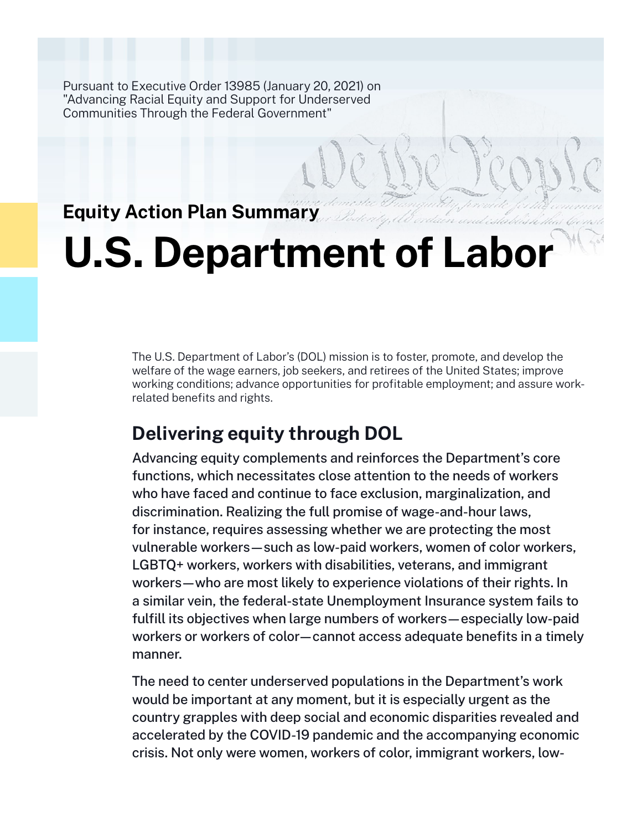Pursuant to Executive Order 13985 (January 20, 2021) on "Advancing Racial Equity and Support for Underserved Communities Through the Federal Government"

# **Equity Action Plan Summary**

# **U.S. Department of Labor**

The U.S. Department of Labor's (DOL) mission is to foster, promote, and develop the welfare of the wage earners, job seekers, and retirees of the United States; improve working conditions; advance opportunities for profitable employment; and assure workrelated benefits and rights.

# **Delivering equity through DOL**

Advancing equity complements and reinforces the Department's core functions, which necessitates close attention to the needs of workers who have faced and continue to face exclusion, marginalization, and discrimination. Realizing the full promise of wage-and-hour laws, for instance, requires assessing whether we are protecting the most vulnerable workers—such as low-paid workers, women of color workers, LGBTQ+ workers, workers with disabilities, veterans, and immigrant workers—who are most likely to experience violations of their rights. In a similar vein, the federal-state Unemployment Insurance system fails to fulfill its objectives when large numbers of workers—especially low-paid workers or workers of color—cannot access adequate benefits in a timely manner.

The need to center underserved populations in the Department's work would be important at any moment, but it is especially urgent as the country grapples with deep social and economic disparities revealed and accelerated by the COVID-19 pandemic and the accompanying economic crisis. Not only were women, workers of color, immigrant workers, low-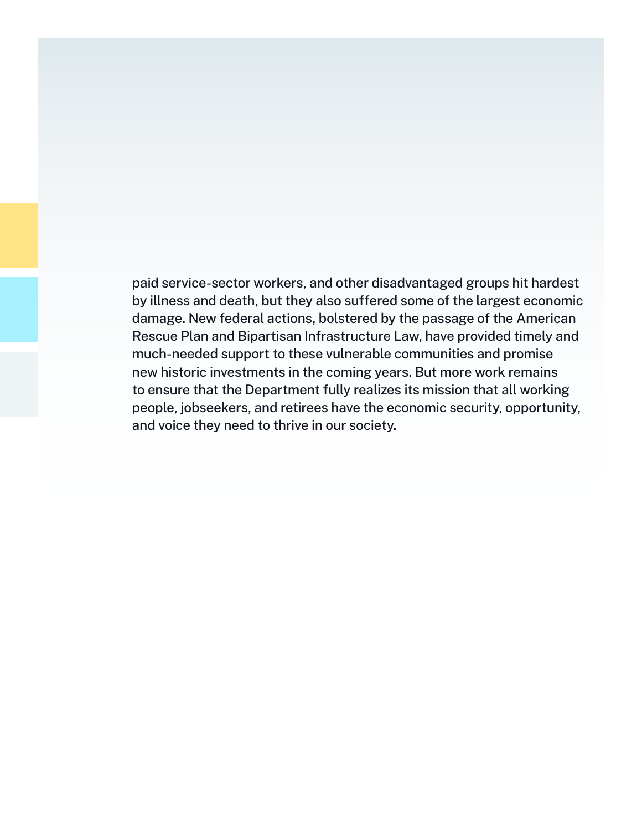paid service-sector workers, and other disadvantaged groups hit hardest by illness and death, but they also suffered some of the largest economic damage. New federal actions, bolstered by the passage of the American Rescue Plan and Bipartisan Infrastructure Law, have provided timely and much-needed support to these vulnerable communities and promise new historic investments in the coming years. But more work remains to ensure that the Department fully realizes its mission that all working people, jobseekers, and retirees have the economic security, opportunity, and voice they need to thrive in our society.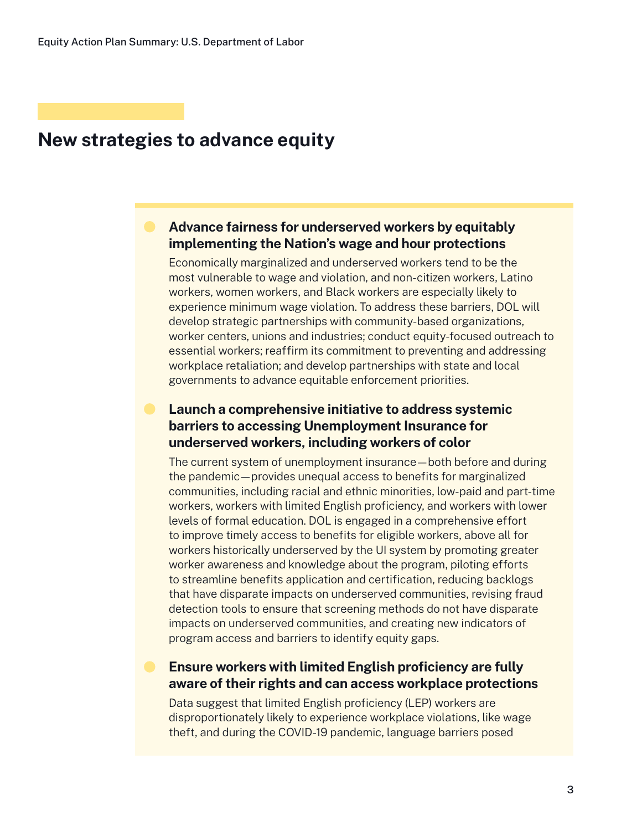## **New strategies to advance equity**

## **Advance fairness for underserved workers by equitably implementing the Nation's wage and hour protections**

Economically marginalized and underserved workers tend to be the most vulnerable to wage and violation, and non-citizen workers, Latino workers, women workers, and Black workers are especially likely to experience minimum wage violation. To address these barriers, DOL will develop strategic partnerships with community-based organizations, worker centers, unions and industries; conduct equity-focused outreach to essential workers; reaffirm its commitment to preventing and addressing workplace retaliation; and develop partnerships with state and local governments to advance equitable enforcement priorities.

## **Launch a comprehensive initiative to address systemic barriers to accessing Unemployment Insurance for underserved workers, including workers of color**

The current system of unemployment insurance—both before and during the pandemic—provides unequal access to benefits for marginalized communities, including racial and ethnic minorities, low-paid and part-time workers, workers with limited English proficiency, and workers with lower levels of formal education. DOL is engaged in a comprehensive effort to improve timely access to benefits for eligible workers, above all for workers historically underserved by the UI system by promoting greater worker awareness and knowledge about the program, piloting efforts to streamline benefits application and certification, reducing backlogs that have disparate impacts on underserved communities, revising fraud detection tools to ensure that screening methods do not have disparate impacts on underserved communities, and creating new indicators of program access and barriers to identify equity gaps.

## **Ensure workers with limited English proficiency are fully aware of their rights and can access workplace protections**

Data suggest that limited English proficiency (LEP) workers are disproportionately likely to experience workplace violations, like wage theft, and during the COVID-19 pandemic, language barriers posed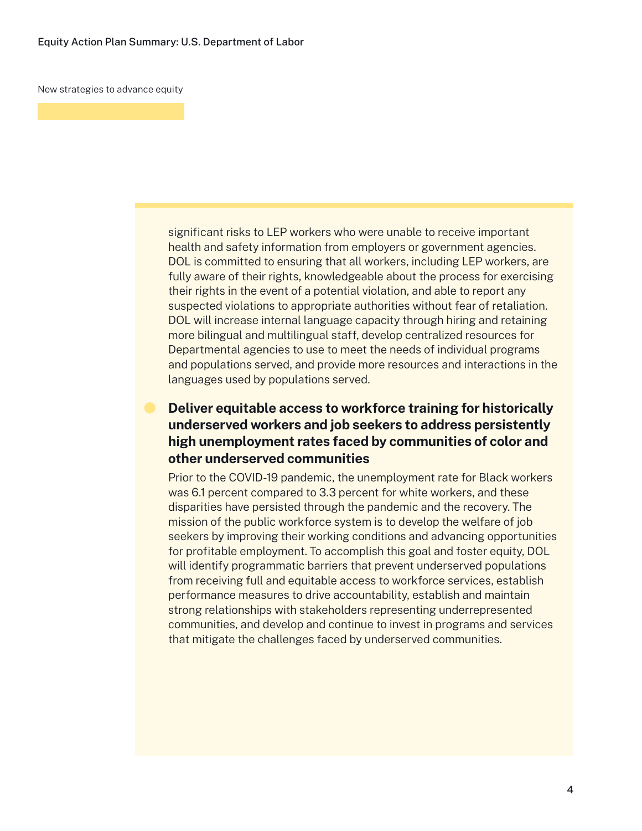New strategies to advance equity

significant risks to LEP workers who were unable to receive important health and safety information from employers or government agencies. DOL is committed to ensuring that all workers, including LEP workers, are fully aware of their rights, knowledgeable about the process for exercising their rights in the event of a potential violation, and able to report any suspected violations to appropriate authorities without fear of retaliation. DOL will increase internal language capacity through hiring and retaining more bilingual and multilingual staff, develop centralized resources for Departmental agencies to use to meet the needs of individual programs and populations served, and provide more resources and interactions in the languages used by populations served.

## **Deliver equitable access to workforce training for historically underserved workers and job seekers to address persistently high unemployment rates faced by communities of color and other underserved communities**

Prior to the COVID-19 pandemic, the unemployment rate for Black workers was 6.1 percent compared to 3.3 percent for white workers, and these disparities have persisted through the pandemic and the recovery. The mission of the public workforce system is to develop the welfare of job seekers by improving their working conditions and advancing opportunities for profitable employment. To accomplish this goal and foster equity, DOL will identify programmatic barriers that prevent underserved populations from receiving full and equitable access to workforce services, establish performance measures to drive accountability, establish and maintain strong relationships with stakeholders representing underrepresented communities, and develop and continue to invest in programs and services that mitigate the challenges faced by underserved communities.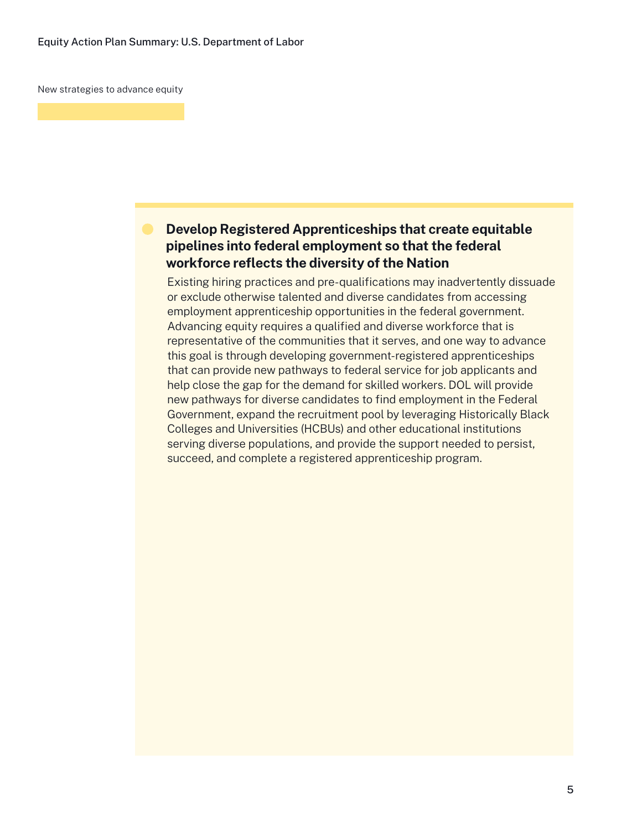New strategies to advance equity

## **Develop Registered Apprenticeships that create equitable pipelines into federal employment so that the federal workforce reflects the diversity of the Nation**

Existing hiring practices and pre-qualifications may inadvertently dissuade or exclude otherwise talented and diverse candidates from accessing employment apprenticeship opportunities in the federal government. Advancing equity requires a qualified and diverse workforce that is representative of the communities that it serves, and one way to advance this goal is through developing government-registered apprenticeships that can provide new pathways to federal service for job applicants and help close the gap for the demand for skilled workers. DOL will provide new pathways for diverse candidates to find employment in the Federal Government, expand the recruitment pool by leveraging Historically Black Colleges and Universities (HCBUs) and other educational institutions serving diverse populations, and provide the support needed to persist, succeed, and complete a registered apprenticeship program.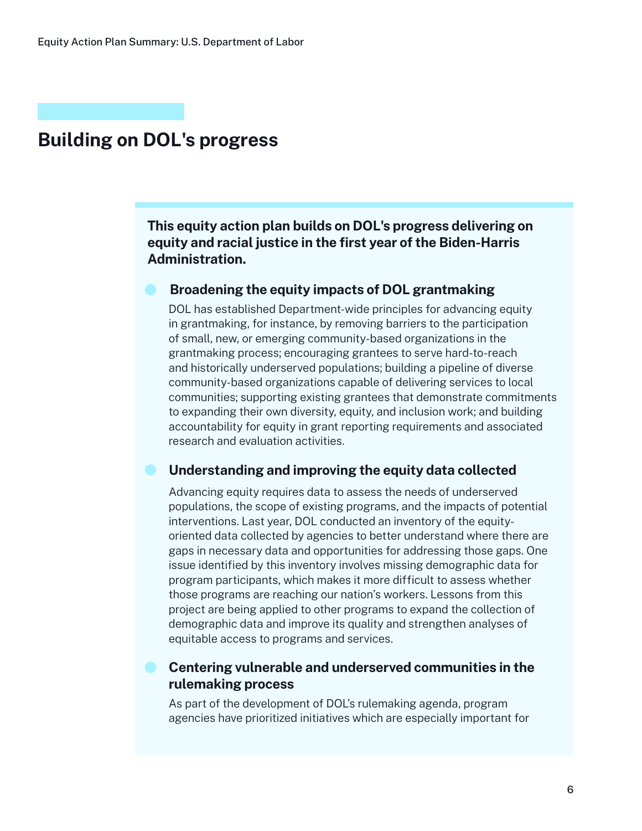# **Building on DOL's progress**

**This equity action plan builds on DOL's progress delivering on equity and racial justice in the first year of the Biden-Harris Administration.**

#### **Broadening the equity impacts of DOL grantmaking**

DOL has established Department-wide principles for advancing equity in grantmaking, for instance, by removing barriers to the participation of small, new, or emerging community-based organizations in the grantmaking process; encouraging grantees to serve hard-to-reach and historically underserved populations; building a pipeline of diverse community-based organizations capable of delivering services to local communities; supporting existing grantees that demonstrate commitments to expanding their own diversity, equity, and inclusion work; and building accountability for equity in grant reporting requirements and associated research and evaluation activities.

#### **Understanding and improving the equity data collected**

Advancing equity requires data to assess the needs of underserved populations, the scope of existing programs, and the impacts of potential interventions. Last year, DOL conducted an inventory of the equityoriented data collected by agencies to better understand where there are gaps in necessary data and opportunities for addressing those gaps. One issue identified by this inventory involves missing demographic data for program participants, which makes it more difficult to assess whether those programs are reaching our nation's workers. Lessons from this project are being applied to other programs to expand the collection of demographic data and improve its quality and strengthen analyses of equitable access to programs and services.

## **Centering vulnerable and underserved communities in the rulemaking process**

As part of the development of DOL's rulemaking agenda, program agencies have prioritized initiatives which are especially important for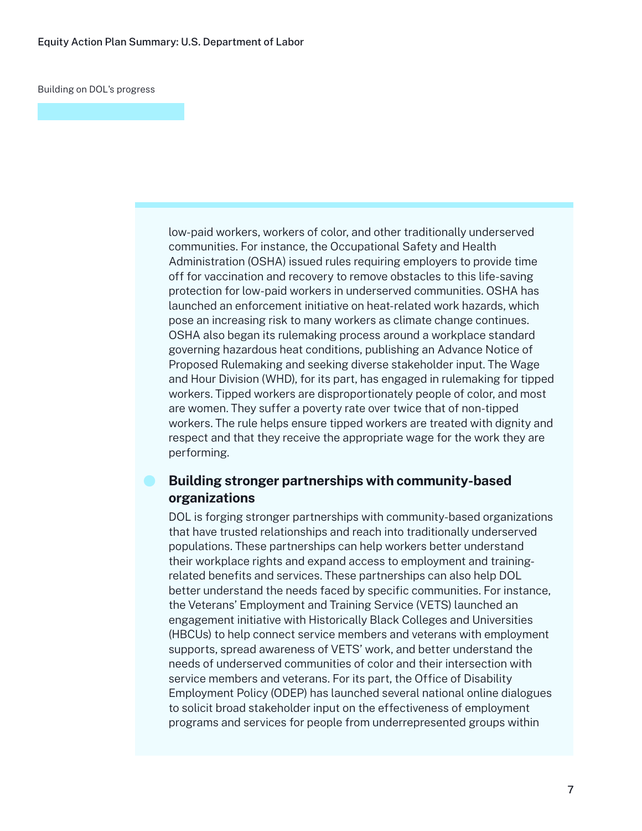Building on DOL's progress

low-paid workers, workers of color, and other traditionally underserved communities. For instance, the Occupational Safety and Health Administration (OSHA) issued rules requiring employers to provide time off for vaccination and recovery to remove obstacles to this life-saving protection for low-paid workers in underserved communities. OSHA has launched an enforcement initiative on heat-related work hazards, which pose an increasing risk to many workers as climate change continues. OSHA also began its rulemaking process around a workplace standard governing hazardous heat conditions, publishing an Advance Notice of Proposed Rulemaking and seeking diverse stakeholder input. The Wage and Hour Division (WHD), for its part, has engaged in rulemaking for tipped workers. Tipped workers are disproportionately people of color, and most are women. They suffer a poverty rate over twice that of non-tipped workers. The rule helps ensure tipped workers are treated with dignity and respect and that they receive the appropriate wage for the work they are performing.

#### **Building stronger partnerships with community-based organizations**

DOL is forging stronger partnerships with community-based organizations that have trusted relationships and reach into traditionally underserved populations. These partnerships can help workers better understand their workplace rights and expand access to employment and trainingrelated benefits and services. These partnerships can also help DOL better understand the needs faced by specific communities. For instance, the Veterans' Employment and Training Service (VETS) launched an engagement initiative with Historically Black Colleges and Universities (HBCUs) to help connect service members and veterans with employment supports, spread awareness of VETS' work, and better understand the needs of underserved communities of color and their intersection with service members and veterans. For its part, the Office of Disability Employment Policy (ODEP) has launched several national online dialogues to solicit broad stakeholder input on the effectiveness of employment programs and services for people from underrepresented groups within